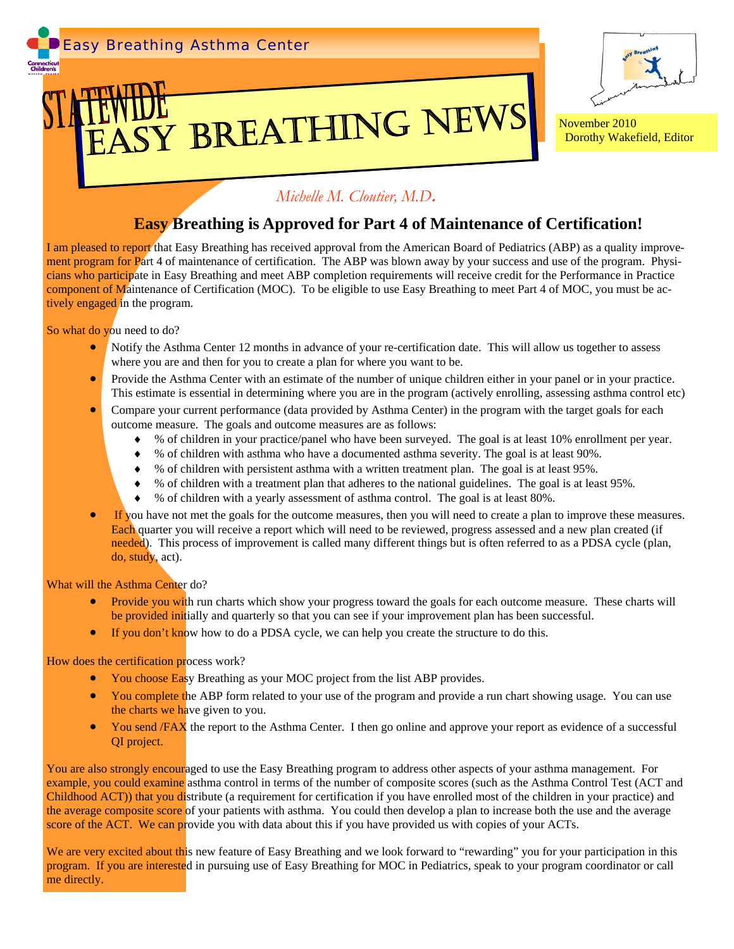# SY BREATHING NEWS November 2010



Dorothy Wakefield, Editor

# *Michelle M. Cloutier, M.D***.**

## **Easy Breathing is Approved for Part 4 of Maintenance of Certification!**

I am pleased to report that Easy Breathing has received approval from the American Board of Pediatrics (ABP) as a quality improvement program for Part 4 of maintenance of certification. The ABP was blown away by your success and use of the program. Physicians who participate in Easy Breathing and meet ABP completion requirements will receive credit for the Performance in Practice component of Maintenance of Certification (MOC). To be eligible to use Easy Breathing to meet Part 4 of MOC, you must be actively engaged in the program.

So what do you need to do?

- Notify the Asthma Center 12 months in advance of your re-certification date. This will allow us together to assess where you are and then for you to create a plan for where you want to be.
- Provide the Asthma Center with an estimate of the number of unique children either in your panel or in your practice. This estimate is essential in determining where you are in the program (actively enrolling, assessing asthma control etc)
- Compare your current performance (data provided by Asthma Center) in the program with the target goals for each outcome measure. The goals and outcome measures are as follows:
	- % of children in your practice/panel who have been surveyed. The goal is at least 10% enrollment per year.
	- % of children with asthma who have a documented asthma severity. The goal is at least 90%.
	- % of children with persistent asthma with a written treatment plan. The goal is at least 95%.
	- % of children with a treatment plan that adheres to the national guidelines. The goal is at least 95%.
	- % of children with a yearly assessment of asthma control. The goal is at least 80%.
- If you have not met the goals for the outcome measures, then you will need to create a plan to improve these measures. Each quarter you will receive a report which will need to be reviewed, progress assessed and a new plan created (if needed). This process of improvement is called many different things but is often referred to as a PDSA cycle (plan, do, study, act).

What will the Asthma Center do?

- Provide you with run charts which show your progress toward the goals for each outcome measure. These charts will be provided initially and quarterly so that you can see if your improvement plan has been successful.
- If you don't know how to do a PDSA cycle, we can help you create the structure to do this.

How does the certification process work?

- You choose Easy Breathing as your MOC project from the list ABP provides.
- You complete the ABP form related to your use of the program and provide a run chart showing usage. You can use the charts we have given to you.
- You send /FAX the report to the Asthma Center. I then go online and approve your report as evidence of a successful QI project.

You are also strongly encouraged to use the Easy Breathing program to address other aspects of your asthma management. For example, you could examine asthma control in terms of the number of composite scores (such as the Asthma Control Test (ACT and Childhood ACT)) that you distribute (a requirement for certification if you have enrolled most of the children in your practice) and the average composite score of your patients with asthma. You could then develop a plan to increase both the use and the average score of the ACT. We can provide you with data about this if you have provided us with copies of your ACTs.

We are very excited about this new feature of Easy Breathing and we look forward to "rewarding" you for your participation in this program. If you are interested in pursuing use of Easy Breathing for MOC in Pediatrics, speak to your program coordinator or call me directly.